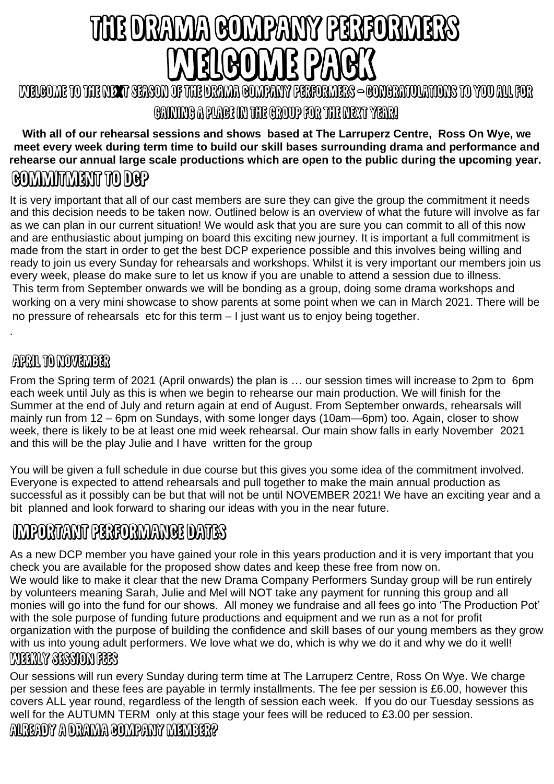# THE DRAMA COMPANY PERFORMERS RIROMR PART

KUELENDE TO THE KUESS TERSON OF THE DRAMA GOMPANY PERFORMERS – GONGRATULATIONS TO YOU ALL FOR GANDING A PUAGE ON DIE GROOP FOR THE DIERTY PEAR!

#### **With all of our rehearsal sessions and shows based at The Larruperz Centre, Ross On Wye, we meet every week during term time to build our skill bases surrounding drama and performance and rehearse our annual large scale productions which are open to the public during the upcoming year. COMMUNIST TO DEP**

It is very important that all of our cast members are sure they can give the group the commitment it needs and this decision needs to be taken now. Outlined below is an overview of what the future will involve as far as we can plan in our current situation! We would ask that you are sure you can commit to all of this now and are enthusiastic about jumping on board this exciting new journey. It is important a full commitment is made from the start in order to get the best DCP experience possible and this involves being willing and ready to join us every Sunday for rehearsals and workshops. Whilst it is very important our members join us every week, please do make sure to let us know if you are unable to attend a session due to illness. This term from September onwards we will be bonding as a group, doing some drama workshops and working on a very mini showcase to show parents at some point when we can in March 2021. There will be no pressure of rehearsals etc for this term – I just want us to enjoy being together.

## ARRIN TO MOMEMBER

.

From the Spring term of 2021 (April onwards) the plan is … our session times will increase to 2pm to 6pm each week until July as this is when we begin to rehearse our main production. We will finish for the Summer at the end of July and return again at end of August. From September onwards, rehearsals will mainly run from 12 – 6pm on Sundays, with some longer days (10am—6pm) too. Again, closer to show week, there is likely to be at least one mid week rehearsal. Our main show falls in early November 2021 and this will be the play Julie and I have written for the group

You will be given a full schedule in due course but this gives you some idea of the commitment involved. Everyone is expected to attend rehearsals and pull together to make the main annual production as successful as it possibly can be but that will not be until NOVEMBER 2021! We have an exciting year and a bit planned and look forward to sharing our ideas with you in the near future.

# **INFORTANT PERFORMANCE DATES**

As a new DCP member you have gained your role in this years production and it is very important that you check you are available for the proposed show dates and keep these free from now on. We would like to make it clear that the new Drama Company Performers Sunday group will be run entirely by volunteers meaning Sarah, Julie and Mel will NOT take any payment for running this group and all monies will go into the fund for our shows. All money we fundraise and all fees go into 'The Production Pot' with the sole purpose of funding future productions and equipment and we run as a not for profit organization with the purpose of building the confidence and skill bases of our young members as they grow with us into young adult performers. We love what we do, which is why we do it and why we do it well! **CABELOTA SECREDOM EEES** 

Our sessions will run every Sunday during term time at The Larruperz Centre, Ross On Wye. We charge per session and these fees are payable in termly installments. The fee per session is £6.00, however this covers ALL year round, regardless of the length of session each week. If you do our Tuesday sessions as well for the AUTUMN TERM only at this stage your fees will be reduced to £3.00 per session.AUREADY A DRAMA GOMPANY MEMBER?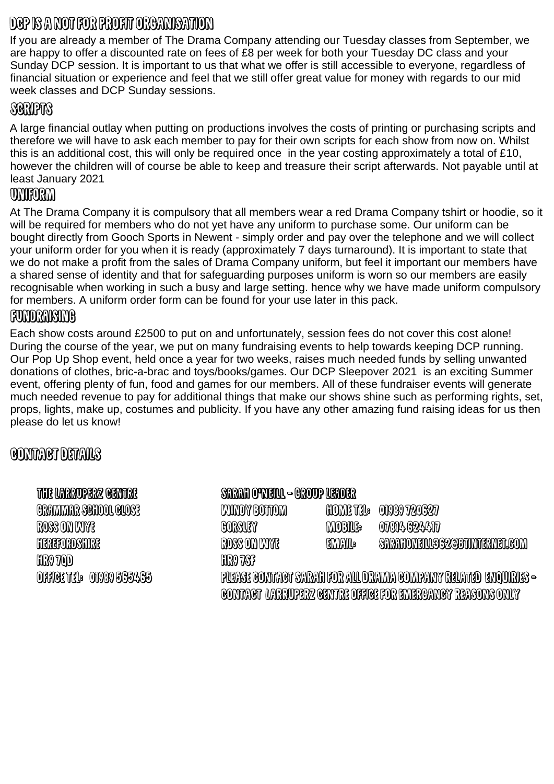# DEP IS A NOT FOR PROFIT ORCANISATION

If you are already a member of The Drama Company attending our Tuesday classes from September, we are happy to offer a discounted rate on fees of £8 per week for both your Tuesday DC class and your Sunday DCP session. It is important to us that what we offer is still accessible to everyone, regardless of financial situation or experience and feel that we still offer great value for money with regards to our mid week classes and DCP Sunday sessions.

## **SORAPTS**

A large financial outlay when putting on productions involves the costs of printing or purchasing scripts and therefore we will have to ask each member to pay for their own scripts for each show from now on. Whilst this is an additional cost, this will only be required once in the year costing approximately a total of £10, however the children will of course be able to keep and treasure their script afterwards. Not payable until at least January 2021

#### **ONTORM**

At The Drama Company it is compulsory that all members wear a red Drama Company tshirt or hoodie, so it will be required for members who do not yet have any uniform to purchase some. Our uniform can be bought directly from Gooch Sports in Newent - simply order and pay over the telephone and we will collect your uniform order for you when it is ready (approximately 7 days turnaround). It is important to state that we do not make a profit from the sales of Drama Company uniform, but feel it important our members have a shared sense of identity and that for safeguarding purposes uniform is worn so our members are easily recognisable when working in such a busy and large setting. hence why we have made uniform compulsory for members. A uniform order form can be found for your use later in this pack.

#### **FUNDRAISING**

Each show costs around £2500 to put on and unfortunately, session fees do not cover this cost alone! During the course of the year, we put on many fundraising events to help towards keeping DCP running. Our Pop Up Shop event, held once a year for two weeks, raises much needed funds by selling unwanted donations of clothes, bric-a-brac and toys/books/games. Our DCP Sleepover 2021 is an exciting Summer event, offering plenty of fun, food and games for our members. All of these fundraiser events will generate much needed revenue to pay for additional things that make our shows shine such as performing rights, set, props, lights, make up, costumes and publicity. If you have any other amazing fund raising ideas for us then please do let us know!

### **GONTAGT DETAILS**

#### THE UNRROPERZ GENTRE

SARAH OWENN - OROUP NEADER HOME THE ONGO 720327 GRAMMAR SCHOOL GLOSE **KUNDY BOTTOM ROSS ON LAYRE** CORSUSY **MOBILS:** OTANA G24ATT **EMAIL: HEREFORDSHIRE** ROSS ON DIVIE **SARAHONEIUSS2@BANTERNEL@OM HRO TOD HRO 7813** PURASI CONTROT SARAH FOR AUL DRAMA COMPANY RELATED ENQUIRIES – OFFICE THE OFFER SSEASS <u>GONTAGT UARRUPERZ GENTRE OFFIGE FOR ENTERCANCY REASONS ONLY</u>